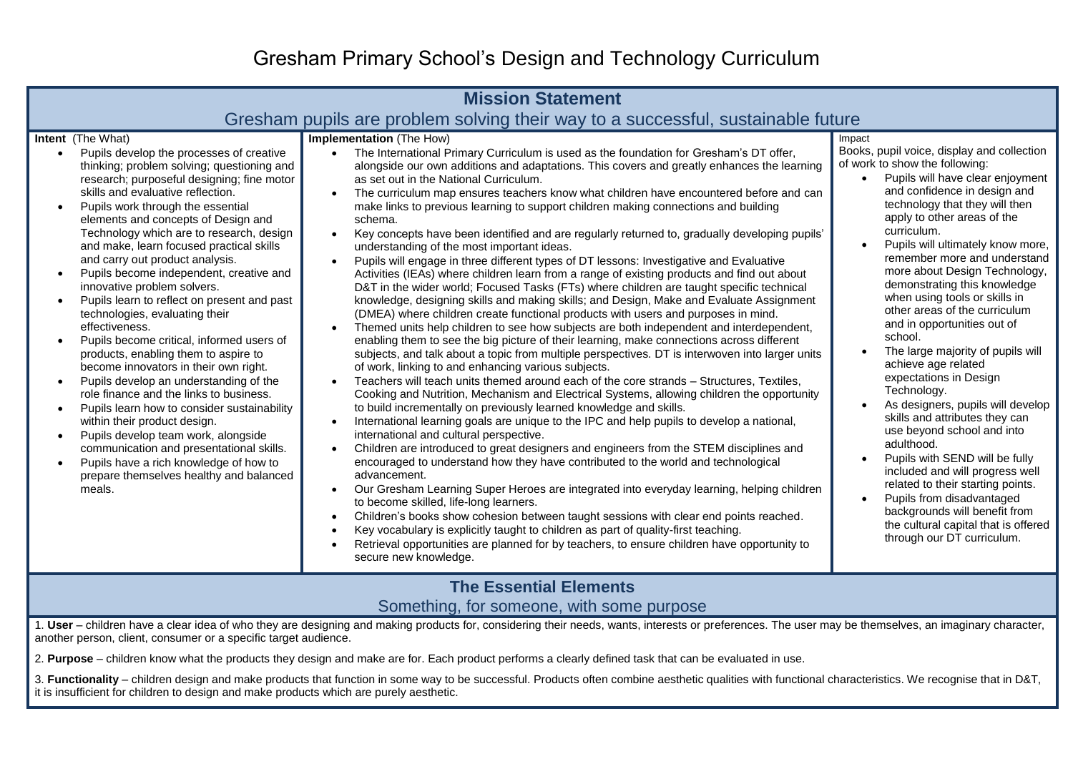| <b>Mission Statement</b>                                                                                                                                                                                                                                                                                                                                                                                                                                                                                                                                                                                                                                                                                                                                                                                                                                                                                                                                                                                                                                                                                                                             |                                                                                                                                                                                                                                                                                                                                                                                                                                                                                                                                                                                                                                                                                                                                                                                                                                                                                                                                                                                                                                                                                                                                                                                                                                                                                                                                                                                                                                                                                                                                                                                                                                                                                                                                                                                                                                                                                                                                                                                                                                                                                                                                                                                                                                                                                                                                                                                                                                                                                                                                                                                                                                                                                                                                                                                                                                                                                                                                                                                                                                                                                                                                                                                                                                                                                                                                                                                                                                                                                                                           |  |  |  |
|------------------------------------------------------------------------------------------------------------------------------------------------------------------------------------------------------------------------------------------------------------------------------------------------------------------------------------------------------------------------------------------------------------------------------------------------------------------------------------------------------------------------------------------------------------------------------------------------------------------------------------------------------------------------------------------------------------------------------------------------------------------------------------------------------------------------------------------------------------------------------------------------------------------------------------------------------------------------------------------------------------------------------------------------------------------------------------------------------------------------------------------------------|---------------------------------------------------------------------------------------------------------------------------------------------------------------------------------------------------------------------------------------------------------------------------------------------------------------------------------------------------------------------------------------------------------------------------------------------------------------------------------------------------------------------------------------------------------------------------------------------------------------------------------------------------------------------------------------------------------------------------------------------------------------------------------------------------------------------------------------------------------------------------------------------------------------------------------------------------------------------------------------------------------------------------------------------------------------------------------------------------------------------------------------------------------------------------------------------------------------------------------------------------------------------------------------------------------------------------------------------------------------------------------------------------------------------------------------------------------------------------------------------------------------------------------------------------------------------------------------------------------------------------------------------------------------------------------------------------------------------------------------------------------------------------------------------------------------------------------------------------------------------------------------------------------------------------------------------------------------------------------------------------------------------------------------------------------------------------------------------------------------------------------------------------------------------------------------------------------------------------------------------------------------------------------------------------------------------------------------------------------------------------------------------------------------------------------------------------------------------------------------------------------------------------------------------------------------------------------------------------------------------------------------------------------------------------------------------------------------------------------------------------------------------------------------------------------------------------------------------------------------------------------------------------------------------------------------------------------------------------------------------------------------------------------------------------------------------------------------------------------------------------------------------------------------------------------------------------------------------------------------------------------------------------------------------------------------------------------------------------------------------------------------------------------------------------------------------------------------------------------------------------------------------------|--|--|--|
| Gresham pupils are problem solving their way to a successful, sustainable future                                                                                                                                                                                                                                                                                                                                                                                                                                                                                                                                                                                                                                                                                                                                                                                                                                                                                                                                                                                                                                                                     |                                                                                                                                                                                                                                                                                                                                                                                                                                                                                                                                                                                                                                                                                                                                                                                                                                                                                                                                                                                                                                                                                                                                                                                                                                                                                                                                                                                                                                                                                                                                                                                                                                                                                                                                                                                                                                                                                                                                                                                                                                                                                                                                                                                                                                                                                                                                                                                                                                                                                                                                                                                                                                                                                                                                                                                                                                                                                                                                                                                                                                                                                                                                                                                                                                                                                                                                                                                                                                                                                                                           |  |  |  |
| Intent (The What)<br>Pupils develop the processes of creative<br>$\bullet$<br>thinking; problem solving; questioning and<br>research; purposeful designing; fine motor<br>skills and evaluative reflection.<br>Pupils work through the essential<br>$\bullet$<br>elements and concepts of Design and<br>Technology which are to research, design<br>and make, learn focused practical skills<br>and carry out product analysis.<br>Pupils become independent, creative and<br>innovative problem solvers.<br>Pupils learn to reflect on present and past<br>technologies, evaluating their<br>effectiveness.<br>Pupils become critical, informed users of<br>$\bullet$<br>products, enabling them to aspire to<br>become innovators in their own right.<br>Pupils develop an understanding of the<br>$\bullet$<br>role finance and the links to business.<br>Pupils learn how to consider sustainability<br>within their product design.<br>Pupils develop team work, alongside<br>$\bullet$<br>communication and presentational skills.<br>Pupils have a rich knowledge of how to<br>$\bullet$<br>prepare themselves healthy and balanced<br>meals. | Implementation (The How)<br>Impact<br>Books, pupil voice, display and collection<br>The International Primary Curriculum is used as the foundation for Gresham's DT offer,<br>$\bullet$<br>of work to show the following:<br>alongside our own additions and adaptations. This covers and greatly enhances the learning<br>Pupils will have clear enjoyment<br>$\bullet$<br>as set out in the National Curriculum.<br>and confidence in design and<br>The curriculum map ensures teachers know what children have encountered before and can<br>$\bullet$<br>technology that they will then<br>make links to previous learning to support children making connections and building<br>apply to other areas of the<br>schema.<br>curriculum.<br>Key concepts have been identified and are regularly returned to, gradually developing pupils'<br>$\bullet$<br>Pupils will ultimately know more,<br>understanding of the most important ideas.<br>remember more and understand<br>Pupils will engage in three different types of DT lessons: Investigative and Evaluative<br>more about Design Technology,<br>Activities (IEAs) where children learn from a range of existing products and find out about<br>demonstrating this knowledge<br>D&T in the wider world; Focused Tasks (FTs) where children are taught specific technical<br>when using tools or skills in<br>knowledge, designing skills and making skills; and Design, Make and Evaluate Assignment<br>other areas of the curriculum<br>(DMEA) where children create functional products with users and purposes in mind.<br>and in opportunities out of<br>Themed units help children to see how subjects are both independent and interdependent,<br>school.<br>enabling them to see the big picture of their learning, make connections across different<br>The large majority of pupils will<br>subjects, and talk about a topic from multiple perspectives. DT is interwoven into larger units<br>achieve age related<br>of work, linking to and enhancing various subjects.<br>expectations in Design<br>Teachers will teach units themed around each of the core strands - Structures, Textiles,<br>Technology.<br>Cooking and Nutrition, Mechanism and Electrical Systems, allowing children the opportunity<br>As designers, pupils will develop<br>to build incrementally on previously learned knowledge and skills.<br>skills and attributes they can<br>International learning goals are unique to the IPC and help pupils to develop a national,<br>use beyond school and into<br>international and cultural perspective.<br>adulthood.<br>Children are introduced to great designers and engineers from the STEM disciplines and<br>Pupils with SEND will be fully<br>encouraged to understand how they have contributed to the world and technological<br>included and will progress well<br>advancement.<br>related to their starting points.<br>Our Gresham Learning Super Heroes are integrated into everyday learning, helping children<br>$\bullet$<br>Pupils from disadvantaged<br>to become skilled, life-long learners.<br>backgrounds will benefit from<br>Children's books show cohesion between taught sessions with clear end points reached.<br>the cultural capital that is offered<br>Key vocabulary is explicitly taught to children as part of quality-first teaching.<br>through our DT curriculum.<br>Retrieval opportunities are planned for by teachers, to ensure children have opportunity to<br>secure new knowledge. |  |  |  |
| <b>The Essential Elements</b><br>Something, for someone, with some purpose                                                                                                                                                                                                                                                                                                                                                                                                                                                                                                                                                                                                                                                                                                                                                                                                                                                                                                                                                                                                                                                                           |                                                                                                                                                                                                                                                                                                                                                                                                                                                                                                                                                                                                                                                                                                                                                                                                                                                                                                                                                                                                                                                                                                                                                                                                                                                                                                                                                                                                                                                                                                                                                                                                                                                                                                                                                                                                                                                                                                                                                                                                                                                                                                                                                                                                                                                                                                                                                                                                                                                                                                                                                                                                                                                                                                                                                                                                                                                                                                                                                                                                                                                                                                                                                                                                                                                                                                                                                                                                                                                                                                                           |  |  |  |
| 1. User - children have a clear idea of who they are designing and making products for, considering their needs, wants, interests or preferences. The user may be themselves, an imaginary character,<br>another person, client, consumer or a specific target audience.                                                                                                                                                                                                                                                                                                                                                                                                                                                                                                                                                                                                                                                                                                                                                                                                                                                                             |                                                                                                                                                                                                                                                                                                                                                                                                                                                                                                                                                                                                                                                                                                                                                                                                                                                                                                                                                                                                                                                                                                                                                                                                                                                                                                                                                                                                                                                                                                                                                                                                                                                                                                                                                                                                                                                                                                                                                                                                                                                                                                                                                                                                                                                                                                                                                                                                                                                                                                                                                                                                                                                                                                                                                                                                                                                                                                                                                                                                                                                                                                                                                                                                                                                                                                                                                                                                                                                                                                                           |  |  |  |
|                                                                                                                                                                                                                                                                                                                                                                                                                                                                                                                                                                                                                                                                                                                                                                                                                                                                                                                                                                                                                                                                                                                                                      | 2. Purpose - children know what the products they design and make are for. Each product performs a clearly defined task that can be evaluated in use.                                                                                                                                                                                                                                                                                                                                                                                                                                                                                                                                                                                                                                                                                                                                                                                                                                                                                                                                                                                                                                                                                                                                                                                                                                                                                                                                                                                                                                                                                                                                                                                                                                                                                                                                                                                                                                                                                                                                                                                                                                                                                                                                                                                                                                                                                                                                                                                                                                                                                                                                                                                                                                                                                                                                                                                                                                                                                                                                                                                                                                                                                                                                                                                                                                                                                                                                                                     |  |  |  |
| 3. Functionality - children design and make products that function in some way to be successful. Products often combine aesthetic qualities with functional characteristics. We recognise that in D&T,<br>it is insufficient for children to design and make products which are purely aesthetic.                                                                                                                                                                                                                                                                                                                                                                                                                                                                                                                                                                                                                                                                                                                                                                                                                                                    |                                                                                                                                                                                                                                                                                                                                                                                                                                                                                                                                                                                                                                                                                                                                                                                                                                                                                                                                                                                                                                                                                                                                                                                                                                                                                                                                                                                                                                                                                                                                                                                                                                                                                                                                                                                                                                                                                                                                                                                                                                                                                                                                                                                                                                                                                                                                                                                                                                                                                                                                                                                                                                                                                                                                                                                                                                                                                                                                                                                                                                                                                                                                                                                                                                                                                                                                                                                                                                                                                                                           |  |  |  |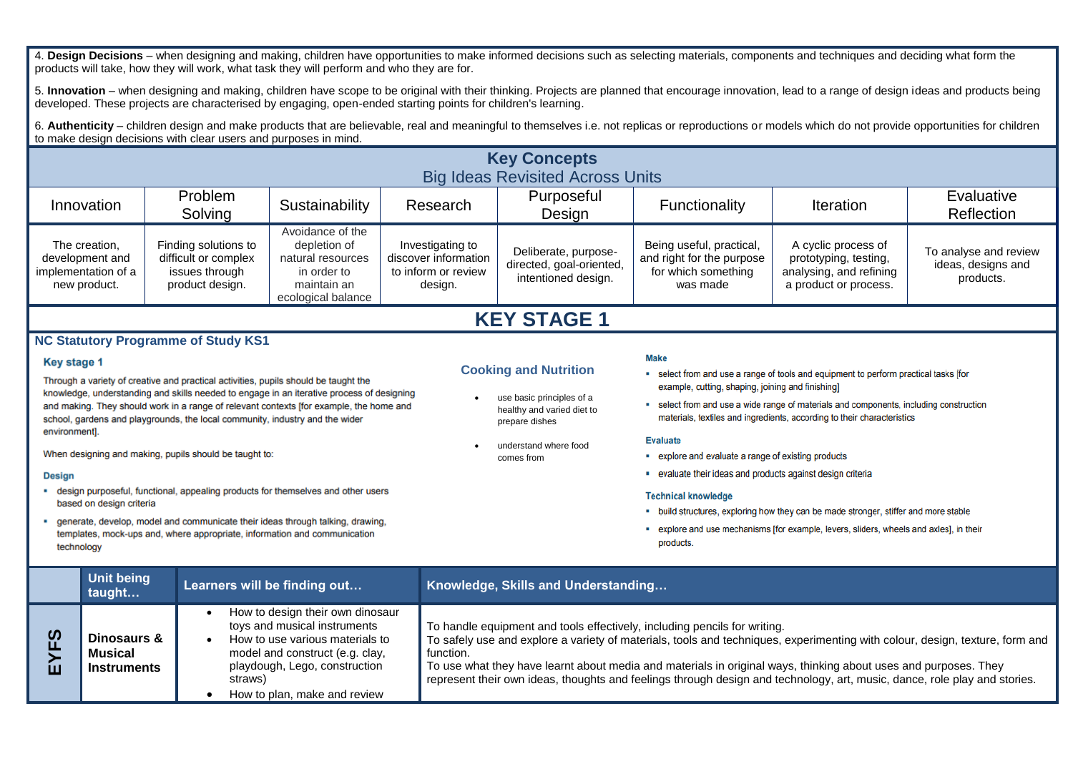4. **Design Decisions** – when designing and making, children have opportunities to make informed decisions such as selecting materials, components and techniques and deciding what form the products will take, how they will work, what task they will perform and who they are for.

5. **Innovation** – when designing and making, children have scope to be original with their thinking. Projects are planned that encourage innovation, lead to a range of design ideas and products being developed. These projects are characterised by engaging, open-ended starting points for children's learning.

6. **Authenticity** – children design and make products that are believable, real and meaningful to themselves i.e. not replicas or reproductions or models which do not provide opportunities for children to make design decisions with clear users and purposes in mind.

| <b>Key Concepts</b><br><b>Big Ideas Revisited Across Units</b> |                                                                                                                                                                                                                                                                                                                                                                                                                                                                                                                                                                                                                                                                                                                                                                                                                                                                                                                                                                                                                                                                                                                                                                                                                                                                                                                                                                                                                                                                                                                                                                                                                                                       |                                                                                   |                                                                                                                                                                                                         |                                                                            |                                                                         |                                                                                                                                                                                                                                                                                                                           |                                                                                                  |                                                                                                                              |
|----------------------------------------------------------------|-------------------------------------------------------------------------------------------------------------------------------------------------------------------------------------------------------------------------------------------------------------------------------------------------------------------------------------------------------------------------------------------------------------------------------------------------------------------------------------------------------------------------------------------------------------------------------------------------------------------------------------------------------------------------------------------------------------------------------------------------------------------------------------------------------------------------------------------------------------------------------------------------------------------------------------------------------------------------------------------------------------------------------------------------------------------------------------------------------------------------------------------------------------------------------------------------------------------------------------------------------------------------------------------------------------------------------------------------------------------------------------------------------------------------------------------------------------------------------------------------------------------------------------------------------------------------------------------------------------------------------------------------------|-----------------------------------------------------------------------------------|---------------------------------------------------------------------------------------------------------------------------------------------------------------------------------------------------------|----------------------------------------------------------------------------|-------------------------------------------------------------------------|---------------------------------------------------------------------------------------------------------------------------------------------------------------------------------------------------------------------------------------------------------------------------------------------------------------------------|--------------------------------------------------------------------------------------------------|------------------------------------------------------------------------------------------------------------------------------|
|                                                                | Innovation                                                                                                                                                                                                                                                                                                                                                                                                                                                                                                                                                                                                                                                                                                                                                                                                                                                                                                                                                                                                                                                                                                                                                                                                                                                                                                                                                                                                                                                                                                                                                                                                                                            | Problem<br>Solving                                                                | Sustainability                                                                                                                                                                                          | Research                                                                   | Purposeful<br>Design                                                    | Functionality                                                                                                                                                                                                                                                                                                             | Iteration                                                                                        | Evaluative<br>Reflection                                                                                                     |
|                                                                | The creation,<br>development and<br>implementation of a<br>new product.                                                                                                                                                                                                                                                                                                                                                                                                                                                                                                                                                                                                                                                                                                                                                                                                                                                                                                                                                                                                                                                                                                                                                                                                                                                                                                                                                                                                                                                                                                                                                                               | Finding solutions to<br>difficult or complex<br>issues through<br>product design. | Avoidance of the<br>depletion of<br>natural resources<br>in order to<br>maintain an<br>ecological balance                                                                                               | Investigating to<br>discover information<br>to inform or review<br>design. | Deliberate, purpose-<br>directed, goal-oriented,<br>intentioned design. | Being useful, practical,<br>and right for the purpose<br>for which something<br>was made                                                                                                                                                                                                                                  | A cyclic process of<br>prototyping, testing,<br>analysing, and refining<br>a product or process. | To analyse and review<br>ideas, designs and<br>products.                                                                     |
|                                                                |                                                                                                                                                                                                                                                                                                                                                                                                                                                                                                                                                                                                                                                                                                                                                                                                                                                                                                                                                                                                                                                                                                                                                                                                                                                                                                                                                                                                                                                                                                                                                                                                                                                       |                                                                                   |                                                                                                                                                                                                         |                                                                            | <b>KEY STAGE 1</b>                                                      |                                                                                                                                                                                                                                                                                                                           |                                                                                                  |                                                                                                                              |
| <b>Design</b><br>technology                                    | <b>NC Statutory Programme of Study KS1</b><br><b>Make</b><br><b>Key stage 1</b><br><b>Cooking and Nutrition</b><br>" select from and use a range of tools and equipment to perform practical tasks [for<br>Through a variety of creative and practical activities, pupils should be taught the<br>example, cutting, shaping, joining and finishing]<br>knowledge, understanding and skills needed to engage in an iterative process of designing<br>use basic principles of a<br>" select from and use a wide range of materials and components, including construction<br>and making. They should work in a range of relevant contexts [for example, the home and<br>healthy and varied diet to<br>materials, textiles and ingredients, according to their characteristics<br>school, gardens and playgrounds, the local community, industry and the wider<br>prepare dishes<br>environment].<br><b>Evaluate</b><br>understand where food<br>When designing and making, pupils should be taught to:<br>• explore and evaluate a range of existing products<br>comes from<br>• evaluate their ideas and products against design criteria<br>design purposeful, functional, appealing products for themselves and other users<br><b>Technical knowledge</b><br>based on design criteria<br>• build structures, exploring how they can be made stronger, stiffer and more stable<br>generate, develop, model and communicate their ideas through talking, drawing,<br>" explore and use mechanisms [for example, levers, sliders, wheels and axles], in their<br>templates, mock-ups and, where appropriate, information and communication<br>products. |                                                                                   |                                                                                                                                                                                                         |                                                                            |                                                                         |                                                                                                                                                                                                                                                                                                                           |                                                                                                  |                                                                                                                              |
|                                                                | <b>Unit being</b><br>Learners will be finding out<br>Knowledge, Skills and Understanding<br>taught                                                                                                                                                                                                                                                                                                                                                                                                                                                                                                                                                                                                                                                                                                                                                                                                                                                                                                                                                                                                                                                                                                                                                                                                                                                                                                                                                                                                                                                                                                                                                    |                                                                                   |                                                                                                                                                                                                         |                                                                            |                                                                         |                                                                                                                                                                                                                                                                                                                           |                                                                                                  |                                                                                                                              |
| EYFS                                                           | Dinosaurs &<br><b>Musical</b><br><b>Instruments</b>                                                                                                                                                                                                                                                                                                                                                                                                                                                                                                                                                                                                                                                                                                                                                                                                                                                                                                                                                                                                                                                                                                                                                                                                                                                                                                                                                                                                                                                                                                                                                                                                   | straws)                                                                           | How to design their own dinosaur<br>toys and musical instruments<br>How to use various materials to<br>model and construct (e.g. clay,<br>playdough, Lego, construction<br>How to plan, make and review | function.                                                                  |                                                                         | To handle equipment and tools effectively, including pencils for writing.<br>To use what they have learnt about media and materials in original ways, thinking about uses and purposes. They<br>represent their own ideas, thoughts and feelings through design and technology, art, music, dance, role play and stories. |                                                                                                  | To safely use and explore a variety of materials, tools and techniques, experimenting with colour, design, texture, form and |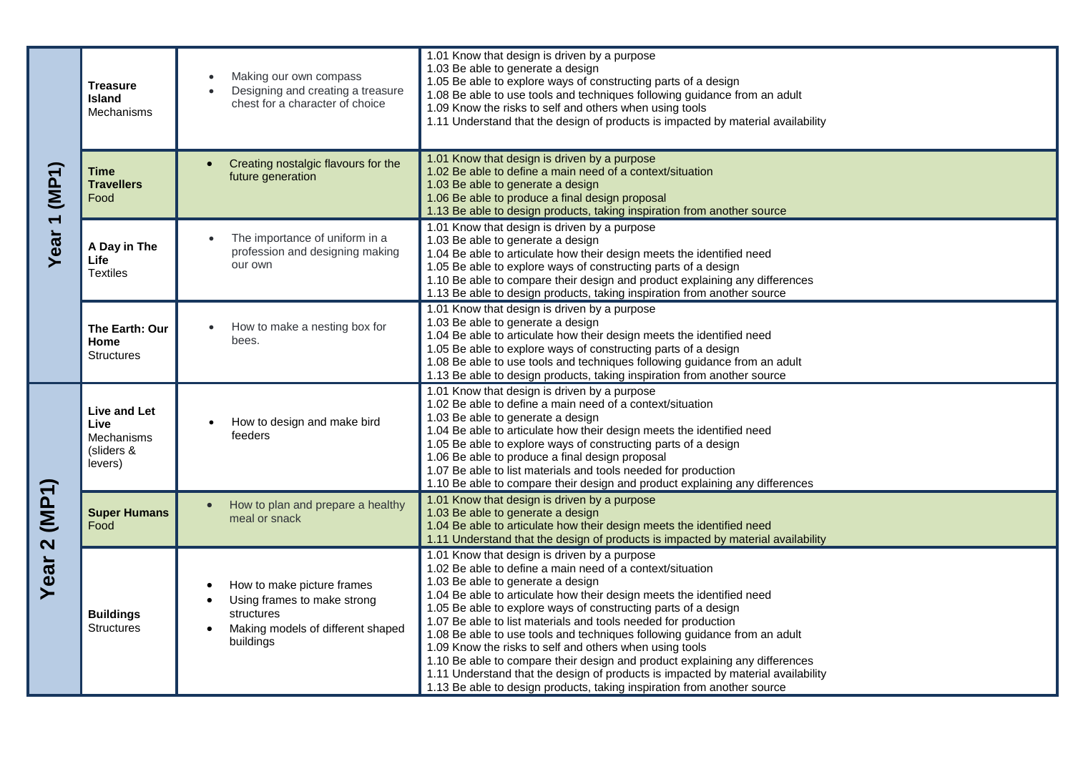|                            | <b>Treasure</b><br><b>Island</b><br>Mechanisms                     | Making our own compass<br>Designing and creating a treasure<br>chest for a character of choice                                         | 1.01 Know that design is driven by a purpose<br>1.03 Be able to generate a design<br>1.05 Be able to explore ways of constructing parts of a design<br>1.08 Be able to use tools and techniques following guidance from an adult<br>1.09 Know the risks to self and others when using tools<br>1.11 Understand that the design of products is impacted by material availability                                                                                                                                                                                                                                                                                                                                                                   |
|----------------------------|--------------------------------------------------------------------|----------------------------------------------------------------------------------------------------------------------------------------|---------------------------------------------------------------------------------------------------------------------------------------------------------------------------------------------------------------------------------------------------------------------------------------------------------------------------------------------------------------------------------------------------------------------------------------------------------------------------------------------------------------------------------------------------------------------------------------------------------------------------------------------------------------------------------------------------------------------------------------------------|
| (MP1)<br>Year <sub>1</sub> | <b>Time</b><br><b>Travellers</b><br>Food                           | Creating nostalgic flavours for the<br>$\bullet$<br>future generation                                                                  | 1.01 Know that design is driven by a purpose<br>1.02 Be able to define a main need of a context/situation<br>1.03 Be able to generate a design<br>1.06 Be able to produce a final design proposal<br>1.13 Be able to design products, taking inspiration from another source                                                                                                                                                                                                                                                                                                                                                                                                                                                                      |
|                            | A Day in The<br>Life<br><b>Textiles</b>                            | The importance of uniform in a<br>profession and designing making<br>our own                                                           | 1.01 Know that design is driven by a purpose<br>1.03 Be able to generate a design<br>1.04 Be able to articulate how their design meets the identified need<br>1.05 Be able to explore ways of constructing parts of a design<br>1.10 Be able to compare their design and product explaining any differences<br>1.13 Be able to design products, taking inspiration from another source                                                                                                                                                                                                                                                                                                                                                            |
|                            | The Earth: Our<br>Home<br><b>Structures</b>                        | How to make a nesting box for<br>bees.                                                                                                 | 1.01 Know that design is driven by a purpose<br>1.03 Be able to generate a design<br>1.04 Be able to articulate how their design meets the identified need<br>1.05 Be able to explore ways of constructing parts of a design<br>1.08 Be able to use tools and techniques following guidance from an adult<br>1.13 Be able to design products, taking inspiration from another source                                                                                                                                                                                                                                                                                                                                                              |
|                            | Live and Let<br>Live<br><b>Mechanisms</b><br>(sliders &<br>levers) | How to design and make bird<br>feeders                                                                                                 | 1.01 Know that design is driven by a purpose<br>1.02 Be able to define a main need of a context/situation<br>1.03 Be able to generate a design<br>1.04 Be able to articulate how their design meets the identified need<br>1.05 Be able to explore ways of constructing parts of a design<br>1.06 Be able to produce a final design proposal<br>1.07 Be able to list materials and tools needed for production<br>1.10 Be able to compare their design and product explaining any differences                                                                                                                                                                                                                                                     |
| (MP1)                      | <b>Super Humans</b><br>Food                                        | How to plan and prepare a healthy<br>meal or snack                                                                                     | 1.01 Know that design is driven by a purpose<br>1.03 Be able to generate a design<br>1.04 Be able to articulate how their design meets the identified need<br>1.11 Understand that the design of products is impacted by material availability                                                                                                                                                                                                                                                                                                                                                                                                                                                                                                    |
| $\mathbf{\Omega}$<br>Year  | <b>Buildings</b><br><b>Structures</b>                              | How to make picture frames<br>Using frames to make strong<br>$\bullet$<br>structures<br>Making models of different shaped<br>buildings | 1.01 Know that design is driven by a purpose<br>1.02 Be able to define a main need of a context/situation<br>1.03 Be able to generate a design<br>1.04 Be able to articulate how their design meets the identified need<br>1.05 Be able to explore ways of constructing parts of a design<br>1.07 Be able to list materials and tools needed for production<br>1.08 Be able to use tools and techniques following guidance from an adult<br>1.09 Know the risks to self and others when using tools<br>1.10 Be able to compare their design and product explaining any differences<br>1.11 Understand that the design of products is impacted by material availability<br>1.13 Be able to design products, taking inspiration from another source |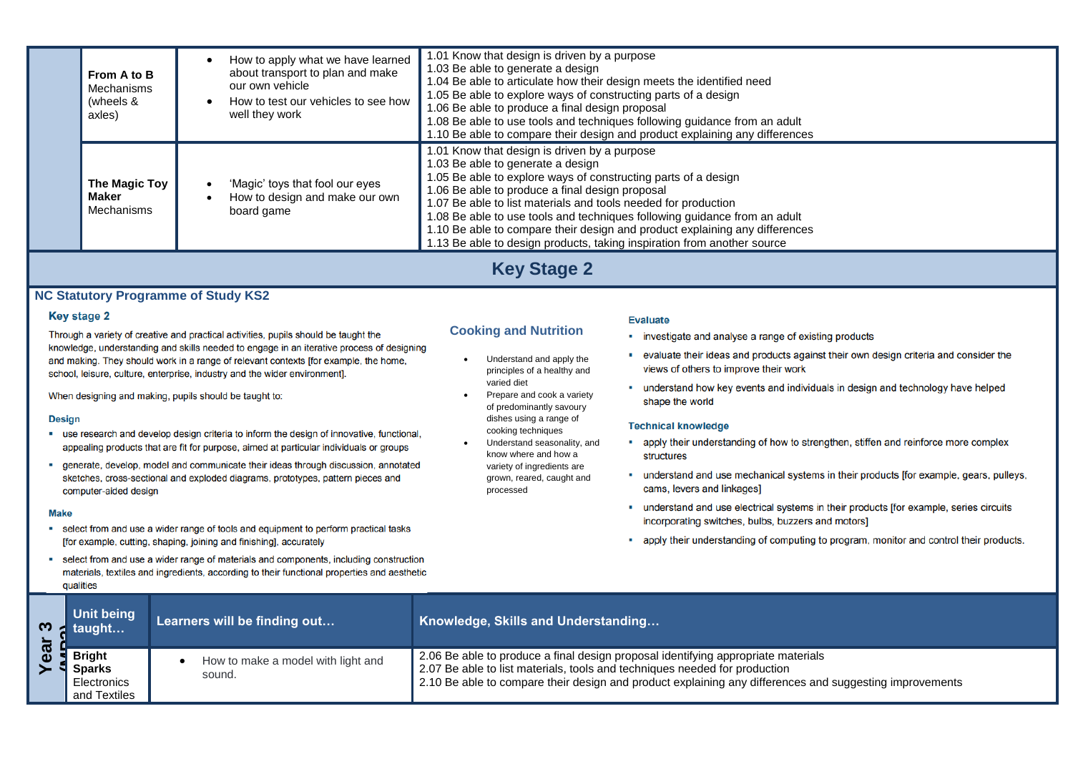| From A to B<br><b>Mechanisms</b><br>(wheels &<br>axles) | How to apply what we have learned<br>about transport to plan and make<br>our own vehicle<br>How to test our vehicles to see how<br>well they work | 1.01 Know that design is driven by a purpose<br>1.03 Be able to generate a design<br>1.04 Be able to articulate how their design meets the identified need<br>1.05 Be able to explore ways of constructing parts of a design<br>1.06 Be able to produce a final design proposal<br>1.08 Be able to use tools and techniques following guidance from an adult<br>1.10 Be able to compare their design and product explaining any differences                                                                     |
|---------------------------------------------------------|---------------------------------------------------------------------------------------------------------------------------------------------------|-----------------------------------------------------------------------------------------------------------------------------------------------------------------------------------------------------------------------------------------------------------------------------------------------------------------------------------------------------------------------------------------------------------------------------------------------------------------------------------------------------------------|
| The Magic Toy<br>Maker<br><b>Mechanisms</b>             | 'Magic' toys that fool our eyes<br>How to design and make our own<br>board game                                                                   | 1.01 Know that design is driven by a purpose<br>1.03 Be able to generate a design<br>1.05 Be able to explore ways of constructing parts of a design<br>1.06 Be able to produce a final design proposal<br>1.07 Be able to list materials and tools needed for production<br>1.08 Be able to use tools and techniques following guidance from an adult<br>1.10 Be able to compare their design and product explaining any differences<br>1.13 Be able to design products, taking inspiration from another source |

# **Key Stage 2**

# **NC Statutory Programme of Study KS2**

## **Key stage 2**

Through a variety of creative and practical activities, pupils should be taught the knowledge, understanding and skills needed to engage in an iterative process of designing and making. They should work in a range of relevant contexts [for example, the home, school, leisure, culture, enterprise, industry and the wider environment].

When designing and making, pupils should be taught to:

#### **Design**

- " use research and develop design criteria to inform the design of innovative, functional, appealing products that are fit for purpose, aimed at particular individuals or groups
- generate, develop, model and communicate their ideas through discussion, annotated  $\mathbf{u}$ sketches, cross-sectional and exploded diagrams, prototypes, pattern pieces and computer-aided design

#### **Make**

- select from and use a wider range of tools and equipment to perform practical tasks ×. [for example, cutting, shaping, joining and finishing], accurately
- select from and use a wider range of materials and components, including construction  $\mathbf{u}$ materials, textiles and ingredients, according to their functional properties and aesthetic qualities

# **Cooking and Nutrition**

#### • Understand and apply the principles of a healthy and varied diet

- Prepare and cook a variety of predominantly savoury dishes using a range of cooking techniques
- Understand seasonality, and know where and how a variety of ingredients are grown, reared, caught and processed

## **Evaluate**

- . investigate and analyse a range of existing products
- " evaluate their ideas and products against their own design criteria and consider the views of others to improve their work
- " understand how key events and individuals in design and technology have helped shape the world

### **Technical knowledge**

- " apply their understanding of how to strengthen, stiffen and reinforce more complex structures
- " understand and use mechanical systems in their products [for example, gears, pulleys, cams, levers and linkages]
- " understand and use electrical systems in their products ffor example, series circuits incorporating switches, bulbs, buzzers and motors]
- apply their understanding of computing to program, monitor and control their products.

| <b>Unit being</b><br>$\boldsymbol{\omega}$ aught              | Learners will be finding out                 | Knowledge, Skills and Understanding                                                                                                                                                                                                                                        |
|---------------------------------------------------------------|----------------------------------------------|----------------------------------------------------------------------------------------------------------------------------------------------------------------------------------------------------------------------------------------------------------------------------|
| <b>Bright</b><br><b>Sparks</b><br>Electronics<br>and Textiles | How to make a model with light and<br>sound. | 2.06 Be able to produce a final design proposal identifying appropriate materials<br>2.07 Be able to list materials, tools and techniques needed for production<br>2.10 Be able to compare their design and product explaining any differences and suggesting improvements |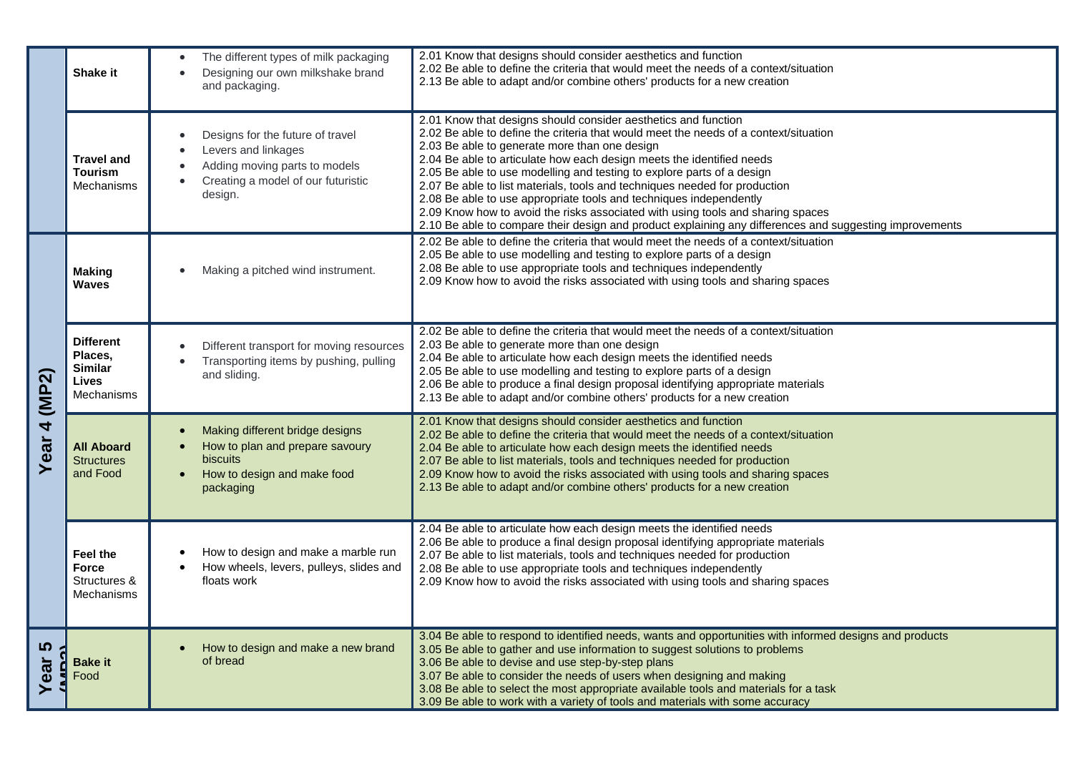|                 | Shake it                                                                    | The different types of milk packaging<br>Designing our own milkshake brand<br>and packaging.                                                           | 2.01 Know that designs should consider aesthetics and function<br>2.02 Be able to define the criteria that would meet the needs of a context/situation<br>2.13 Be able to adapt and/or combine others' products for a new creation                                                                                                                                                                                                                                                                                                                                                                                                                                                                           |
|-----------------|-----------------------------------------------------------------------------|--------------------------------------------------------------------------------------------------------------------------------------------------------|--------------------------------------------------------------------------------------------------------------------------------------------------------------------------------------------------------------------------------------------------------------------------------------------------------------------------------------------------------------------------------------------------------------------------------------------------------------------------------------------------------------------------------------------------------------------------------------------------------------------------------------------------------------------------------------------------------------|
|                 | <b>Travel and</b><br><b>Tourism</b><br>Mechanisms                           | Designs for the future of travel<br>Levers and linkages<br>Adding moving parts to models<br>Creating a model of our futuristic<br>$\bullet$<br>design. | 2.01 Know that designs should consider aesthetics and function<br>2.02 Be able to define the criteria that would meet the needs of a context/situation<br>2.03 Be able to generate more than one design<br>2.04 Be able to articulate how each design meets the identified needs<br>2.05 Be able to use modelling and testing to explore parts of a design<br>2.07 Be able to list materials, tools and techniques needed for production<br>2.08 Be able to use appropriate tools and techniques independently<br>2.09 Know how to avoid the risks associated with using tools and sharing spaces<br>2.10 Be able to compare their design and product explaining any differences and suggesting improvements |
| 4 (MP2)<br>Year | Making<br><b>Waves</b>                                                      | Making a pitched wind instrument.                                                                                                                      | 2.02 Be able to define the criteria that would meet the needs of a context/situation<br>2.05 Be able to use modelling and testing to explore parts of a design<br>2.08 Be able to use appropriate tools and techniques independently<br>2.09 Know how to avoid the risks associated with using tools and sharing spaces                                                                                                                                                                                                                                                                                                                                                                                      |
|                 | <b>Different</b><br>Places,<br><b>Similar</b><br><b>Lives</b><br>Mechanisms | Different transport for moving resources<br>Transporting items by pushing, pulling<br>and sliding.                                                     | 2.02 Be able to define the criteria that would meet the needs of a context/situation<br>2.03 Be able to generate more than one design<br>2.04 Be able to articulate how each design meets the identified needs<br>2.05 Be able to use modelling and testing to explore parts of a design<br>2.06 Be able to produce a final design proposal identifying appropriate materials<br>2.13 Be able to adapt and/or combine others' products for a new creation                                                                                                                                                                                                                                                    |
|                 | <b>All Aboard</b><br><b>Structures</b><br>and Food                          | Making different bridge designs<br>How to plan and prepare savoury<br><b>biscuits</b><br>How to design and make food<br>packaging                      | 2.01 Know that designs should consider aesthetics and function<br>2.02 Be able to define the criteria that would meet the needs of a context/situation<br>2.04 Be able to articulate how each design meets the identified needs<br>2.07 Be able to list materials, tools and techniques needed for production<br>2.09 Know how to avoid the risks associated with using tools and sharing spaces<br>2.13 Be able to adapt and/or combine others' products for a new creation                                                                                                                                                                                                                                 |
|                 | <b>Feel the</b><br><b>Force</b><br>Structures &<br>Mechanisms               | How to design and make a marble run<br>How wheels, levers, pulleys, slides and<br>floats work                                                          | 2.04 Be able to articulate how each design meets the identified needs<br>2.06 Be able to produce a final design proposal identifying appropriate materials<br>2.07 Be able to list materials, tools and techniques needed for production<br>2.08 Be able to use appropriate tools and techniques independently<br>2.09 Know how to avoid the risks associated with using tools and sharing spaces                                                                                                                                                                                                                                                                                                            |
| Year<br>X       | <b>Bake it</b><br>Food                                                      | How to design and make a new brand<br>of bread                                                                                                         | 3.04 Be able to respond to identified needs, wants and opportunities with informed designs and products<br>3.05 Be able to gather and use information to suggest solutions to problems<br>3.06 Be able to devise and use step-by-step plans<br>3.07 Be able to consider the needs of users when designing and making<br>3.08 Be able to select the most appropriate available tools and materials for a task<br>3.09 Be able to work with a variety of tools and materials with some accuracy                                                                                                                                                                                                                |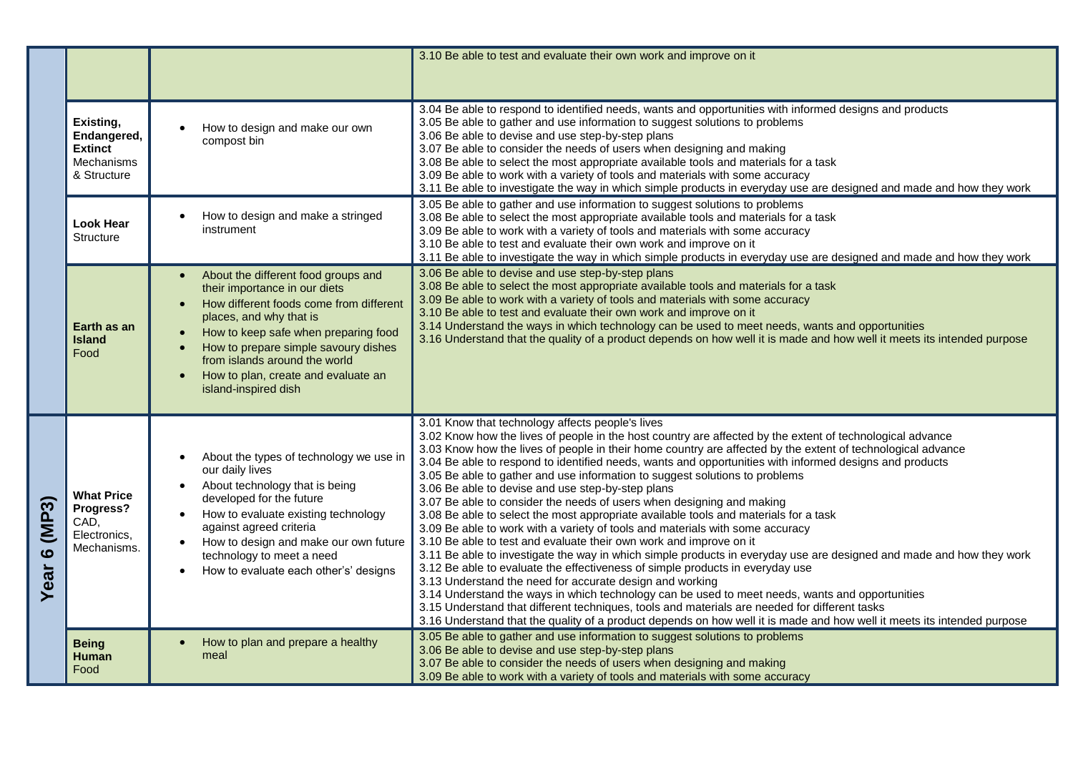|                            |                                                                                |                                                                                                                                                                                                                                                                                                                                                                                             | 3.10 Be able to test and evaluate their own work and improve on it                                                                                                                                                                                                                                                                                                                                                                                                                                                                                                                                                                                                                                                                                                                                                                                                                                                                                                                                                                                                                                                                                                                                                                                                                                                                                                                                                                                      |
|----------------------------|--------------------------------------------------------------------------------|---------------------------------------------------------------------------------------------------------------------------------------------------------------------------------------------------------------------------------------------------------------------------------------------------------------------------------------------------------------------------------------------|---------------------------------------------------------------------------------------------------------------------------------------------------------------------------------------------------------------------------------------------------------------------------------------------------------------------------------------------------------------------------------------------------------------------------------------------------------------------------------------------------------------------------------------------------------------------------------------------------------------------------------------------------------------------------------------------------------------------------------------------------------------------------------------------------------------------------------------------------------------------------------------------------------------------------------------------------------------------------------------------------------------------------------------------------------------------------------------------------------------------------------------------------------------------------------------------------------------------------------------------------------------------------------------------------------------------------------------------------------------------------------------------------------------------------------------------------------|
|                            | Existing,<br>Endangered,<br><b>Extinct</b><br><b>Mechanisms</b><br>& Structure | How to design and make our own<br>compost bin                                                                                                                                                                                                                                                                                                                                               | 3.04 Be able to respond to identified needs, wants and opportunities with informed designs and products<br>3.05 Be able to gather and use information to suggest solutions to problems<br>3.06 Be able to devise and use step-by-step plans<br>3.07 Be able to consider the needs of users when designing and making<br>3.08 Be able to select the most appropriate available tools and materials for a task<br>3.09 Be able to work with a variety of tools and materials with some accuracy<br>3.11 Be able to investigate the way in which simple products in everyday use are designed and made and how they work                                                                                                                                                                                                                                                                                                                                                                                                                                                                                                                                                                                                                                                                                                                                                                                                                                   |
|                            | Look Hear<br><b>Structure</b>                                                  | How to design and make a stringed<br>$\bullet$<br>instrument                                                                                                                                                                                                                                                                                                                                | 3.05 Be able to gather and use information to suggest solutions to problems<br>3.08 Be able to select the most appropriate available tools and materials for a task<br>3.09 Be able to work with a variety of tools and materials with some accuracy<br>3.10 Be able to test and evaluate their own work and improve on it<br>3.11 Be able to investigate the way in which simple products in everyday use are designed and made and how they work                                                                                                                                                                                                                                                                                                                                                                                                                                                                                                                                                                                                                                                                                                                                                                                                                                                                                                                                                                                                      |
|                            | Earth as an<br><b>Island</b><br>Food                                           | About the different food groups and<br>$\bullet$<br>their importance in our diets<br>How different foods come from different<br>$\bullet$<br>places, and why that is<br>How to keep safe when preparing food<br>$\bullet$<br>How to prepare simple savoury dishes<br>$\bullet$<br>from islands around the world<br>How to plan, create and evaluate an<br>$\bullet$<br>island-inspired dish | 3.06 Be able to devise and use step-by-step plans<br>3.08 Be able to select the most appropriate available tools and materials for a task<br>3.09 Be able to work with a variety of tools and materials with some accuracy<br>3.10 Be able to test and evaluate their own work and improve on it<br>3.14 Understand the ways in which technology can be used to meet needs, wants and opportunities<br>3.16 Understand that the quality of a product depends on how well it is made and how well it meets its intended purpose                                                                                                                                                                                                                                                                                                                                                                                                                                                                                                                                                                                                                                                                                                                                                                                                                                                                                                                          |
| (MP3)<br>Year <sub>6</sub> | <b>What Price</b><br>Progress?<br>CAD,<br>Electronics,<br>Mechanisms.          | About the types of technology we use in<br>our daily lives<br>About technology that is being<br>$\bullet$<br>developed for the future<br>How to evaluate existing technology<br>$\bullet$<br>against agreed criteria<br>How to design and make our own future<br>$\bullet$<br>technology to meet a need<br>How to evaluate each other's' designs<br>$\bullet$                               | 3.01 Know that technology affects people's lives<br>3.02 Know how the lives of people in the host country are affected by the extent of technological advance<br>3.03 Know how the lives of people in their home country are affected by the extent of technological advance<br>3.04 Be able to respond to identified needs, wants and opportunities with informed designs and products<br>3.05 Be able to gather and use information to suggest solutions to problems<br>3.06 Be able to devise and use step-by-step plans<br>3.07 Be able to consider the needs of users when designing and making<br>3.08 Be able to select the most appropriate available tools and materials for a task<br>3.09 Be able to work with a variety of tools and materials with some accuracy<br>3.10 Be able to test and evaluate their own work and improve on it<br>3.11 Be able to investigate the way in which simple products in everyday use are designed and made and how they work<br>3.12 Be able to evaluate the effectiveness of simple products in everyday use<br>3.13 Understand the need for accurate design and working<br>3.14 Understand the ways in which technology can be used to meet needs, wants and opportunities<br>3.15 Understand that different techniques, tools and materials are needed for different tasks<br>3.16 Understand that the quality of a product depends on how well it is made and how well it meets its intended purpose |
|                            | <b>Being</b><br><b>Human</b><br>Food                                           | How to plan and prepare a healthy<br>meal                                                                                                                                                                                                                                                                                                                                                   | 3.05 Be able to gather and use information to suggest solutions to problems<br>3.06 Be able to devise and use step-by-step plans<br>3.07 Be able to consider the needs of users when designing and making<br>3.09 Be able to work with a variety of tools and materials with some accuracy                                                                                                                                                                                                                                                                                                                                                                                                                                                                                                                                                                                                                                                                                                                                                                                                                                                                                                                                                                                                                                                                                                                                                              |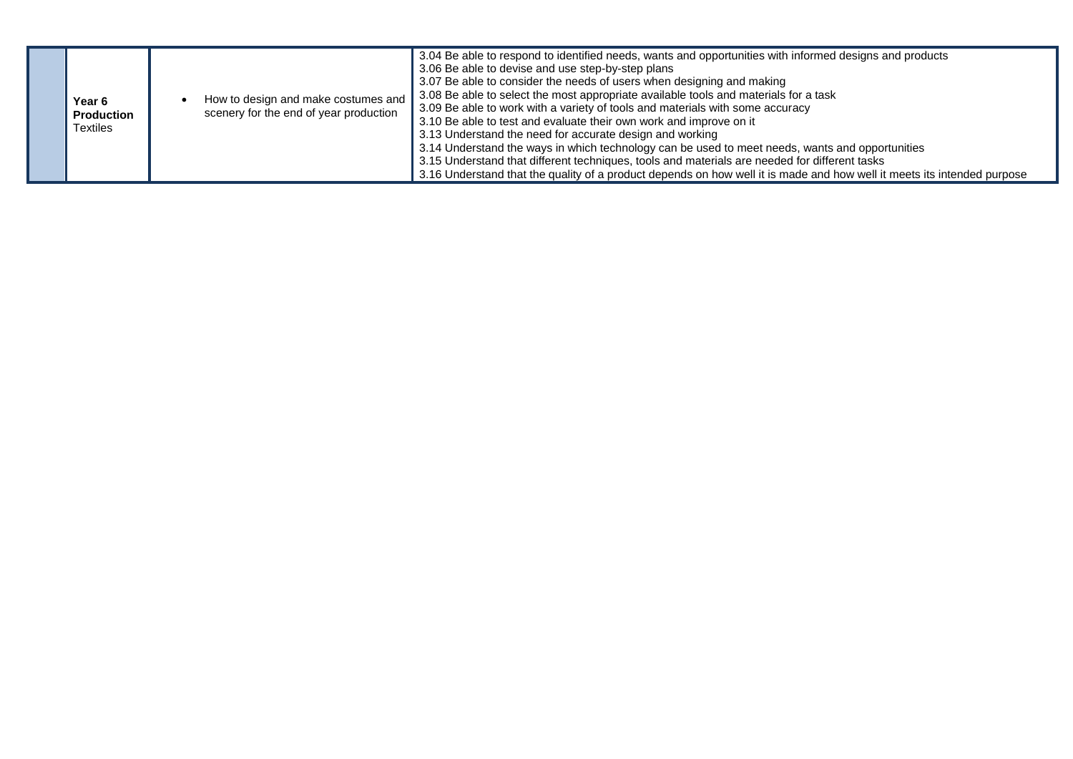|  | Year 6<br><b>Production</b><br>Textiles | How to design and make costumes and<br>scenery for the end of year production | 3.04 Be able to respond to identified needs, wants and opportunities with informed designs and products<br>3.06 Be able to devise and use step-by-step plans<br>3.07 Be able to consider the needs of users when designing and making<br>3.08 Be able to select the most appropriate available tools and materials for a task<br>3.09 Be able to work with a variety of tools and materials with some accuracy<br>3.10 Be able to test and evaluate their own work and improve on it<br>3.13 Understand the need for accurate design and working<br>3.14 Understand the ways in which technology can be used to meet needs, wants and opportunities<br>3.15 Understand that different techniques, tools and materials are needed for different tasks<br>3.16 Understand that the quality of a product depends on how well it is made and how well it meets its intended purpose |
|--|-----------------------------------------|-------------------------------------------------------------------------------|---------------------------------------------------------------------------------------------------------------------------------------------------------------------------------------------------------------------------------------------------------------------------------------------------------------------------------------------------------------------------------------------------------------------------------------------------------------------------------------------------------------------------------------------------------------------------------------------------------------------------------------------------------------------------------------------------------------------------------------------------------------------------------------------------------------------------------------------------------------------------------|
|--|-----------------------------------------|-------------------------------------------------------------------------------|---------------------------------------------------------------------------------------------------------------------------------------------------------------------------------------------------------------------------------------------------------------------------------------------------------------------------------------------------------------------------------------------------------------------------------------------------------------------------------------------------------------------------------------------------------------------------------------------------------------------------------------------------------------------------------------------------------------------------------------------------------------------------------------------------------------------------------------------------------------------------------|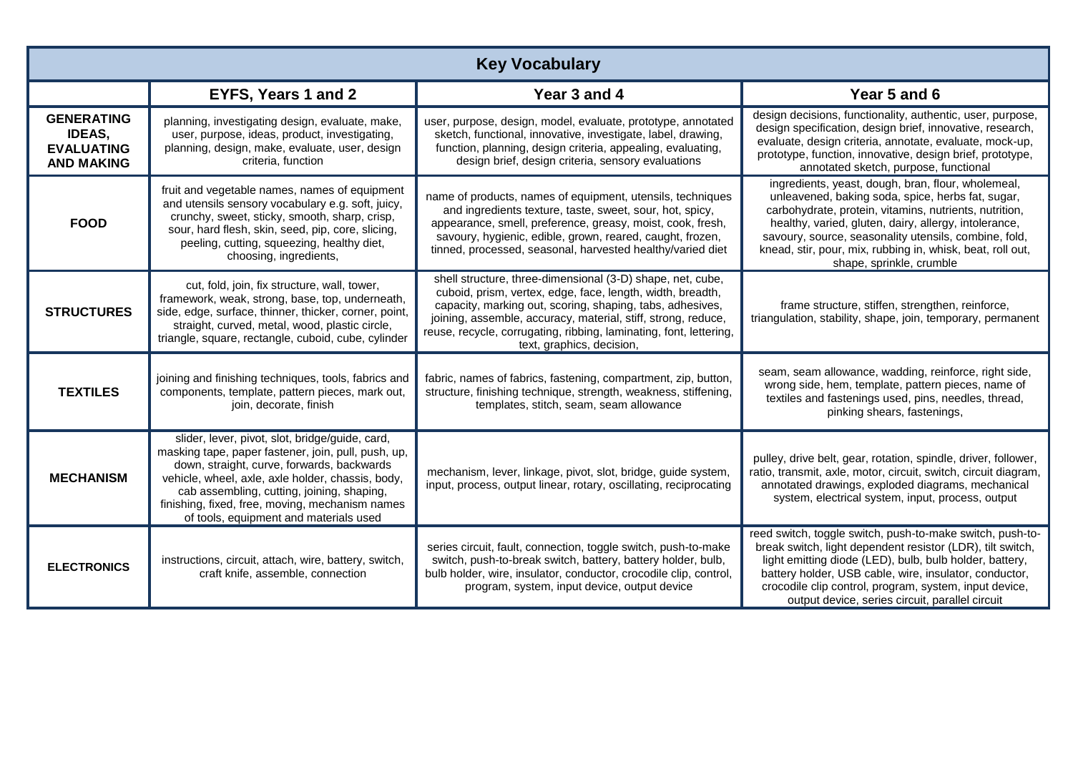| <b>Key Vocabulary</b>                                                 |                                                                                                                                                                                                                                                                                                                                                      |                                                                                                                                                                                                                                                                                                                                                           |                                                                                                                                                                                                                                                                                                                                                                               |
|-----------------------------------------------------------------------|------------------------------------------------------------------------------------------------------------------------------------------------------------------------------------------------------------------------------------------------------------------------------------------------------------------------------------------------------|-----------------------------------------------------------------------------------------------------------------------------------------------------------------------------------------------------------------------------------------------------------------------------------------------------------------------------------------------------------|-------------------------------------------------------------------------------------------------------------------------------------------------------------------------------------------------------------------------------------------------------------------------------------------------------------------------------------------------------------------------------|
|                                                                       | EYFS, Years 1 and 2                                                                                                                                                                                                                                                                                                                                  | Year 3 and 4                                                                                                                                                                                                                                                                                                                                              | Year 5 and 6                                                                                                                                                                                                                                                                                                                                                                  |
| <b>GENERATING</b><br>IDEAS,<br><b>EVALUATING</b><br><b>AND MAKING</b> | planning, investigating design, evaluate, make,<br>user, purpose, ideas, product, investigating,<br>planning, design, make, evaluate, user, design<br>criteria, function                                                                                                                                                                             | user, purpose, design, model, evaluate, prototype, annotated<br>sketch, functional, innovative, investigate, label, drawing,<br>function, planning, design criteria, appealing, evaluating,<br>design brief, design criteria, sensory evaluations                                                                                                         | design decisions, functionality, authentic, user, purpose,<br>design specification, design brief, innovative, research,<br>evaluate, design criteria, annotate, evaluate, mock-up,<br>prototype, function, innovative, design brief, prototype,<br>annotated sketch, purpose, functional                                                                                      |
| <b>FOOD</b>                                                           | fruit and vegetable names, names of equipment<br>and utensils sensory vocabulary e.g. soft, juicy,<br>crunchy, sweet, sticky, smooth, sharp, crisp,<br>sour, hard flesh, skin, seed, pip, core, slicing,<br>peeling, cutting, squeezing, healthy diet,<br>choosing, ingredients,                                                                     | name of products, names of equipment, utensils, techniques<br>and ingredients texture, taste, sweet, sour, hot, spicy,<br>appearance, smell, preference, greasy, moist, cook, fresh,<br>savoury, hygienic, edible, grown, reared, caught, frozen,<br>tinned, processed, seasonal, harvested healthy/varied diet                                           | ingredients, yeast, dough, bran, flour, wholemeal,<br>unleavened, baking soda, spice, herbs fat, sugar,<br>carbohydrate, protein, vitamins, nutrients, nutrition,<br>healthy, varied, gluten, dairy, allergy, intolerance,<br>savoury, source, seasonality utensils, combine, fold,<br>knead, stir, pour, mix, rubbing in, whisk, beat, roll out,<br>shape, sprinkle, crumble |
| <b>STRUCTURES</b>                                                     | cut, fold, join, fix structure, wall, tower,<br>framework, weak, strong, base, top, underneath,<br>side, edge, surface, thinner, thicker, corner, point,<br>straight, curved, metal, wood, plastic circle,<br>triangle, square, rectangle, cuboid, cube, cylinder                                                                                    | shell structure, three-dimensional (3-D) shape, net, cube,<br>cuboid, prism, vertex, edge, face, length, width, breadth,<br>capacity, marking out, scoring, shaping, tabs, adhesives,<br>joining, assemble, accuracy, material, stiff, strong, reduce,<br>reuse, recycle, corrugating, ribbing, laminating, font, lettering,<br>text, graphics, decision, | frame structure, stiffen, strengthen, reinforce,<br>triangulation, stability, shape, join, temporary, permanent                                                                                                                                                                                                                                                               |
| <b>TEXTILES</b>                                                       | joining and finishing techniques, tools, fabrics and<br>components, template, pattern pieces, mark out,<br>join, decorate, finish                                                                                                                                                                                                                    | fabric, names of fabrics, fastening, compartment, zip, button,<br>structure, finishing technique, strength, weakness, stiffening,<br>templates, stitch, seam, seam allowance                                                                                                                                                                              | seam, seam allowance, wadding, reinforce, right side,<br>wrong side, hem, template, pattern pieces, name of<br>textiles and fastenings used, pins, needles, thread,<br>pinking shears, fastenings,                                                                                                                                                                            |
| <b>MECHANISM</b>                                                      | slider, lever, pivot, slot, bridge/guide, card,<br>masking tape, paper fastener, join, pull, push, up,<br>down, straight, curve, forwards, backwards<br>vehicle, wheel, axle, axle holder, chassis, body,<br>cab assembling, cutting, joining, shaping,<br>finishing, fixed, free, moving, mechanism names<br>of tools, equipment and materials used | mechanism, lever, linkage, pivot, slot, bridge, guide system,<br>input, process, output linear, rotary, oscillating, reciprocating                                                                                                                                                                                                                        | pulley, drive belt, gear, rotation, spindle, driver, follower,<br>ratio, transmit, axle, motor, circuit, switch, circuit diagram,<br>annotated drawings, exploded diagrams, mechanical<br>system, electrical system, input, process, output                                                                                                                                   |
| <b>ELECTRONICS</b>                                                    | instructions, circuit, attach, wire, battery, switch,<br>craft knife, assemble, connection                                                                                                                                                                                                                                                           | series circuit, fault, connection, toggle switch, push-to-make<br>switch, push-to-break switch, battery, battery holder, bulb,<br>bulb holder, wire, insulator, conductor, crocodile clip, control,<br>program, system, input device, output device                                                                                                       | reed switch, toggle switch, push-to-make switch, push-to-<br>break switch, light dependent resistor (LDR), tilt switch,<br>light emitting diode (LED), bulb, bulb holder, battery,<br>battery holder, USB cable, wire, insulator, conductor,<br>crocodile clip control, program, system, input device,<br>output device, series circuit, parallel circuit                     |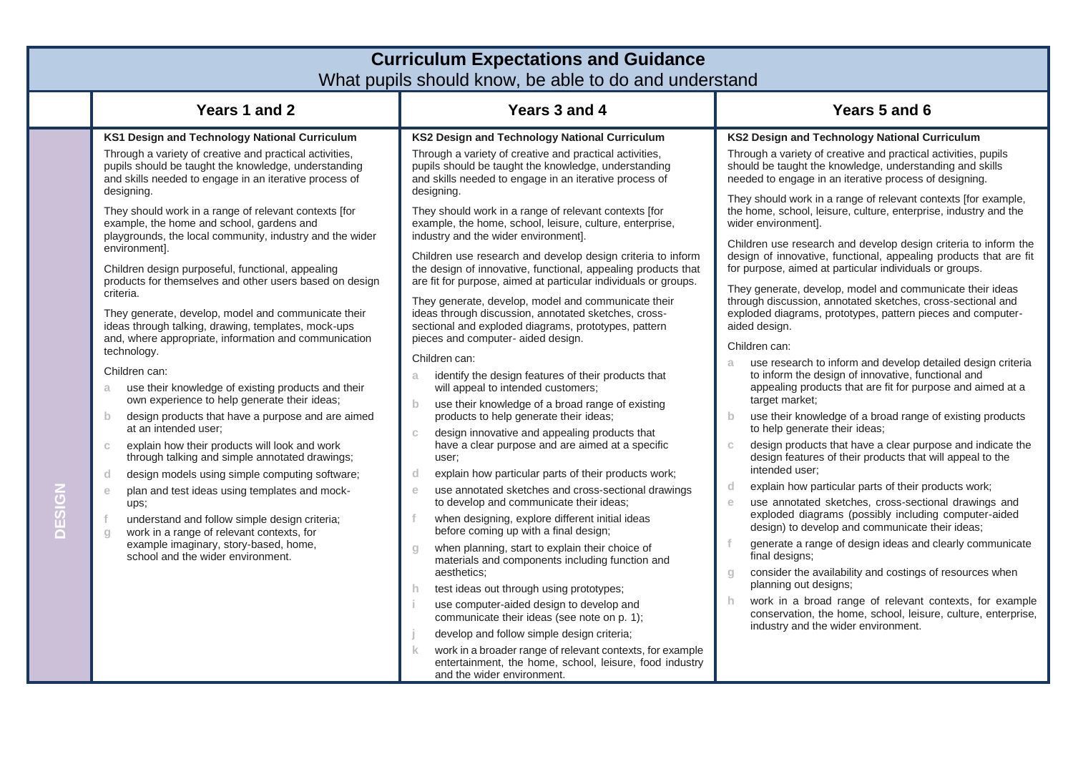| <b>Curriculum Expectations and Guidance</b><br>What pupils should know, be able to do and understand |                                                                                                                                                                                                                                                                                                                                                                                                                                                                                                                                                                                                                                                                                                                                                                                                                                                                                                                                                                                                                                                                                                                                                    |                                                                                                                                                                                                                                                                                                                                                                                                                                                                                                                                                                                                                                                                                                                                                                                                                                                                                                                                                                                                                                                                                                                                                                                                                                                  |                                                                                                                                                                                                                                                                                                                                                                                                                                                                                                                                                                                                                                                                                                                                                                                                                                                                                                                                                                                                                                                                                                                                                                                                                                                                                                                    |  |
|------------------------------------------------------------------------------------------------------|----------------------------------------------------------------------------------------------------------------------------------------------------------------------------------------------------------------------------------------------------------------------------------------------------------------------------------------------------------------------------------------------------------------------------------------------------------------------------------------------------------------------------------------------------------------------------------------------------------------------------------------------------------------------------------------------------------------------------------------------------------------------------------------------------------------------------------------------------------------------------------------------------------------------------------------------------------------------------------------------------------------------------------------------------------------------------------------------------------------------------------------------------|--------------------------------------------------------------------------------------------------------------------------------------------------------------------------------------------------------------------------------------------------------------------------------------------------------------------------------------------------------------------------------------------------------------------------------------------------------------------------------------------------------------------------------------------------------------------------------------------------------------------------------------------------------------------------------------------------------------------------------------------------------------------------------------------------------------------------------------------------------------------------------------------------------------------------------------------------------------------------------------------------------------------------------------------------------------------------------------------------------------------------------------------------------------------------------------------------------------------------------------------------|--------------------------------------------------------------------------------------------------------------------------------------------------------------------------------------------------------------------------------------------------------------------------------------------------------------------------------------------------------------------------------------------------------------------------------------------------------------------------------------------------------------------------------------------------------------------------------------------------------------------------------------------------------------------------------------------------------------------------------------------------------------------------------------------------------------------------------------------------------------------------------------------------------------------------------------------------------------------------------------------------------------------------------------------------------------------------------------------------------------------------------------------------------------------------------------------------------------------------------------------------------------------------------------------------------------------|--|
|                                                                                                      | Years 1 and 2                                                                                                                                                                                                                                                                                                                                                                                                                                                                                                                                                                                                                                                                                                                                                                                                                                                                                                                                                                                                                                                                                                                                      | Years 3 and 4                                                                                                                                                                                                                                                                                                                                                                                                                                                                                                                                                                                                                                                                                                                                                                                                                                                                                                                                                                                                                                                                                                                                                                                                                                    | Years 5 and 6                                                                                                                                                                                                                                                                                                                                                                                                                                                                                                                                                                                                                                                                                                                                                                                                                                                                                                                                                                                                                                                                                                                                                                                                                                                                                                      |  |
|                                                                                                      | KS1 Design and Technology National Curriculum<br>Through a variety of creative and practical activities.<br>pupils should be taught the knowledge, understanding<br>and skills needed to engage in an iterative process of<br>designing.<br>They should work in a range of relevant contexts [for<br>example, the home and school, gardens and<br>playgrounds, the local community, industry and the wider<br>environment].<br>Children design purposeful, functional, appealing<br>products for themselves and other users based on design<br>criteria.<br>They generate, develop, model and communicate their<br>ideas through talking, drawing, templates, mock-ups<br>and, where appropriate, information and communication<br>technology.<br>Children can:<br>use their knowledge of existing products and their<br>a.<br>own experience to help generate their ideas;<br>design products that have a purpose and are aimed<br>$\mathsf{b}$<br>at an intended user:<br>explain how their products will look and work<br>$\mathbb C$<br>through talking and simple annotated drawings;<br>design models using simple computing software;<br>d. | KS2 Design and Technology National Curriculum<br>Through a variety of creative and practical activities,<br>pupils should be taught the knowledge, understanding<br>and skills needed to engage in an iterative process of<br>designing.<br>They should work in a range of relevant contexts [for<br>example, the home, school, leisure, culture, enterprise,<br>industry and the wider environment].<br>Children use research and develop design criteria to inform<br>the design of innovative, functional, appealing products that<br>are fit for purpose, aimed at particular individuals or groups.<br>They generate, develop, model and communicate their<br>ideas through discussion, annotated sketches, cross-<br>sectional and exploded diagrams, prototypes, pattern<br>pieces and computer- aided design.<br>Children can:<br>identify the design features of their products that<br>a<br>will appeal to intended customers;<br>$\mathbf b$<br>use their knowledge of a broad range of existing<br>products to help generate their ideas;<br>design innovative and appealing products that<br>$\mathbb{C}$<br>have a clear purpose and are aimed at a specific<br>user;<br>d<br>explain how particular parts of their products work; | KS2 Design and Technology National Curriculum<br>Through a variety of creative and practical activities, pupils<br>should be taught the knowledge, understanding and skills<br>needed to engage in an iterative process of designing.<br>They should work in a range of relevant contexts [for example,<br>the home, school, leisure, culture, enterprise, industry and the<br>wider environment].<br>Children use research and develop design criteria to inform the<br>design of innovative, functional, appealing products that are fit<br>for purpose, aimed at particular individuals or groups.<br>They generate, develop, model and communicate their ideas<br>through discussion, annotated sketches, cross-sectional and<br>exploded diagrams, prototypes, pattern pieces and computer-<br>aided design.<br>Children can:<br>use research to inform and develop detailed design criteria<br>to inform the design of innovative, functional and<br>appealing products that are fit for purpose and aimed at a<br>target market:<br>use their knowledge of a broad range of existing products<br>$\mathsf{b}$<br>to help generate their ideas;<br>design products that have a clear purpose and indicate the<br>$\mathbb{C}$<br>design features of their products that will appeal to the<br>intended user: |  |
| $\overline{\mathbf{C}}$<br>DESI                                                                      | plan and test ideas using templates and mock-<br>e<br>ups;<br>understand and follow simple design criteria;<br>work in a range of relevant contexts, for<br>$\mathbb{Q}$<br>example imaginary, story-based, home,<br>school and the wider environment.                                                                                                                                                                                                                                                                                                                                                                                                                                                                                                                                                                                                                                                                                                                                                                                                                                                                                             | use annotated sketches and cross-sectional drawings<br>$\mathbf{e}$<br>to develop and communicate their ideas;<br>when designing, explore different initial ideas<br>before coming up with a final design;<br>when planning, start to explain their choice of<br>$\Box$<br>materials and components including function and<br>aesthetics;<br>test ideas out through using prototypes;<br>use computer-aided design to develop and<br>communicate their ideas (see note on p. 1);<br>develop and follow simple design criteria;<br>work in a broader range of relevant contexts, for example<br>entertainment, the home, school, leisure, food industry<br>and the wider environment.                                                                                                                                                                                                                                                                                                                                                                                                                                                                                                                                                             | explain how particular parts of their products work;<br>d<br>use annotated sketches, cross-sectional drawings and<br>e<br>exploded diagrams (possibly including computer-aided<br>design) to develop and communicate their ideas;<br>generate a range of design ideas and clearly communicate<br>final designs;<br>consider the availability and costings of resources when<br>g<br>planning out designs;<br>work in a broad range of relevant contexts, for example<br>h.<br>conservation, the home, school, leisure, culture, enterprise,<br>industry and the wider environment.                                                                                                                                                                                                                                                                                                                                                                                                                                                                                                                                                                                                                                                                                                                                 |  |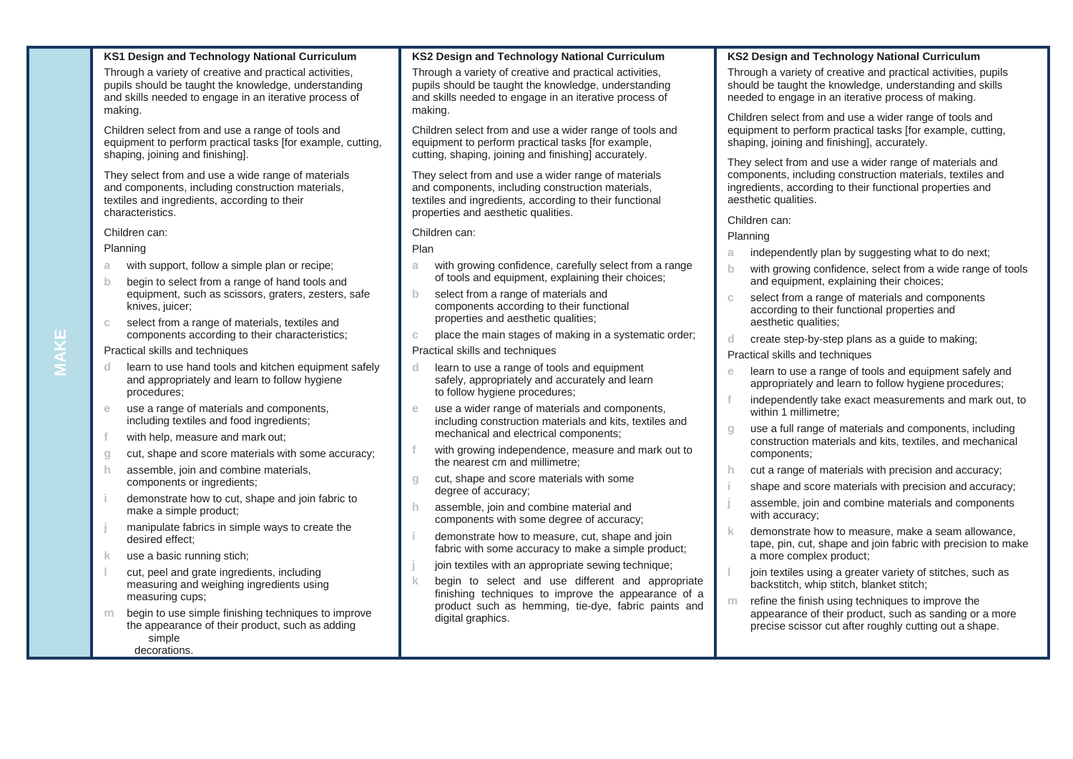| KS1 Design and Technology National Curriculum                                                                                                                                        | KS2 Design and Technology National Curriculum                                                                                                                                                              | KS2 Design and Technology National Curriculum                                                                                                                                                              |  |
|--------------------------------------------------------------------------------------------------------------------------------------------------------------------------------------|------------------------------------------------------------------------------------------------------------------------------------------------------------------------------------------------------------|------------------------------------------------------------------------------------------------------------------------------------------------------------------------------------------------------------|--|
| Through a variety of creative and practical activities,<br>pupils should be taught the knowledge, understanding<br>and skills needed to engage in an iterative process of<br>making. | Through a variety of creative and practical activities,<br>pupils should be taught the knowledge, understanding<br>and skills needed to engage in an iterative process of<br>making.                       | Through a variety of creative and practical activities, pupils<br>should be taught the knowledge, understanding and skills<br>needed to engage in an iterative process of making.                          |  |
| Children select from and use a range of tools and<br>equipment to perform practical tasks [for example, cutting,<br>shaping, joining and finishing].                                 | Children select from and use a wider range of tools and<br>equipment to perform practical tasks [for example,<br>cutting, shaping, joining and finishing] accurately.                                      | Children select from and use a wider range of tools and<br>equipment to perform practical tasks [for example, cutting,<br>shaping, joining and finishing], accurately.                                     |  |
| They select from and use a wide range of materials<br>and components, including construction materials,<br>textiles and ingredients, according to their<br>characteristics.          | They select from and use a wider range of materials<br>and components, including construction materials,<br>textiles and ingredients, according to their functional<br>properties and aesthetic qualities. | They select from and use a wider range of materials and<br>components, including construction materials, textiles and<br>ingredients, according to their functional properties and<br>aesthetic qualities. |  |
| Children can:                                                                                                                                                                        | Children can:                                                                                                                                                                                              | Children can:                                                                                                                                                                                              |  |
| Planning                                                                                                                                                                             | Plan                                                                                                                                                                                                       | Planning                                                                                                                                                                                                   |  |
| with support, follow a simple plan or recipe;<br>a                                                                                                                                   | with growing confidence, carefully select from a range<br>a                                                                                                                                                | independently plan by suggesting what to do next;<br>a.                                                                                                                                                    |  |
| begin to select from a range of hand tools and<br>$\mathbf b$                                                                                                                        | of tools and equipment, explaining their choices;                                                                                                                                                          | with growing confidence, select from a wide range of tools<br>b.<br>and equipment, explaining their choices;                                                                                               |  |
| equipment, such as scissors, graters, zesters, safe<br>knives, juicer;<br>select from a range of materials, textiles and<br>$\mathbb{C}$                                             | select from a range of materials and<br>$\mathsf{b}$<br>components according to their functional<br>properties and aesthetic qualities;                                                                    | select from a range of materials and components<br>$\mathbb{C}$<br>according to their functional properties and<br>aesthetic qualities;                                                                    |  |
| components according to their characteristics;                                                                                                                                       | place the main stages of making in a systematic order;<br>$\mathbb{C}$                                                                                                                                     | d.                                                                                                                                                                                                         |  |
| Practical skills and techniques                                                                                                                                                      | Practical skills and techniques                                                                                                                                                                            | create step-by-step plans as a guide to making;<br>Practical skills and techniques                                                                                                                         |  |
| learn to use hand tools and kitchen equipment safely<br>d.<br>and appropriately and learn to follow hygiene                                                                          | learn to use a range of tools and equipment<br>d.<br>safely, appropriately and accurately and learn                                                                                                        | learn to use a range of tools and equipment safely and<br>e<br>appropriately and learn to follow hygiene procedures;                                                                                       |  |
| procedures:                                                                                                                                                                          | to follow hygiene procedures;                                                                                                                                                                              | independently take exact measurements and mark out, to                                                                                                                                                     |  |
| use a range of materials and components,<br>$\rm{e}$<br>including textiles and food ingredients;                                                                                     | use a wider range of materials and components,<br>e<br>including construction materials and kits, textiles and                                                                                             | within 1 millimetre;                                                                                                                                                                                       |  |
| with help, measure and mark out;                                                                                                                                                     | mechanical and electrical components;                                                                                                                                                                      | use a full range of materials and components, including<br>Q<br>construction materials and kits, textiles, and mechanical                                                                                  |  |
| cut, shape and score materials with some accuracy;<br>g                                                                                                                              | with growing independence, measure and mark out to                                                                                                                                                         | components;                                                                                                                                                                                                |  |
| h.<br>assemble, join and combine materials,                                                                                                                                          | the nearest cm and millimetre:                                                                                                                                                                             | cut a range of materials with precision and accuracy;<br>h.                                                                                                                                                |  |
| components or ingredients;                                                                                                                                                           | cut, shape and score materials with some<br>Q<br>degree of accuracy;                                                                                                                                       | shape and score materials with precision and accuracy;                                                                                                                                                     |  |
| demonstrate how to cut, shape and join fabric to<br>make a simple product;                                                                                                           | assemble, join and combine material and<br>h.<br>components with some degree of accuracy;                                                                                                                  | assemble, join and combine materials and components<br>with accuracy;                                                                                                                                      |  |
| manipulate fabrics in simple ways to create the<br>desired effect:                                                                                                                   | demonstrate how to measure, cut, shape and join                                                                                                                                                            | demonstrate how to measure, make a seam allowance,<br>k.<br>tape, pin, cut, shape and join fabric with precision to make                                                                                   |  |
| k.<br>use a basic running stich;                                                                                                                                                     | fabric with some accuracy to make a simple product;                                                                                                                                                        | a more complex product;                                                                                                                                                                                    |  |
| cut, peel and grate ingredients, including                                                                                                                                           | join textiles with an appropriate sewing technique;                                                                                                                                                        | join textiles using a greater variety of stitches, such as                                                                                                                                                 |  |
| measuring and weighing ingredients using<br>measuring cups;                                                                                                                          | begin to select and use different and appropriate<br>finishing techniques to improve the appearance of a                                                                                                   | backstitch, whip stitch, blanket stitch;<br>refine the finish using techniques to improve the                                                                                                              |  |
| begin to use simple finishing techniques to improve<br>m<br>the appearance of their product, such as adding<br>simple<br>decorations.                                                | product such as hemming, tie-dye, fabric paints and<br>digital graphics.                                                                                                                                   | m<br>appearance of their product, such as sanding or a more<br>precise scissor cut after roughly cutting out a shape.                                                                                      |  |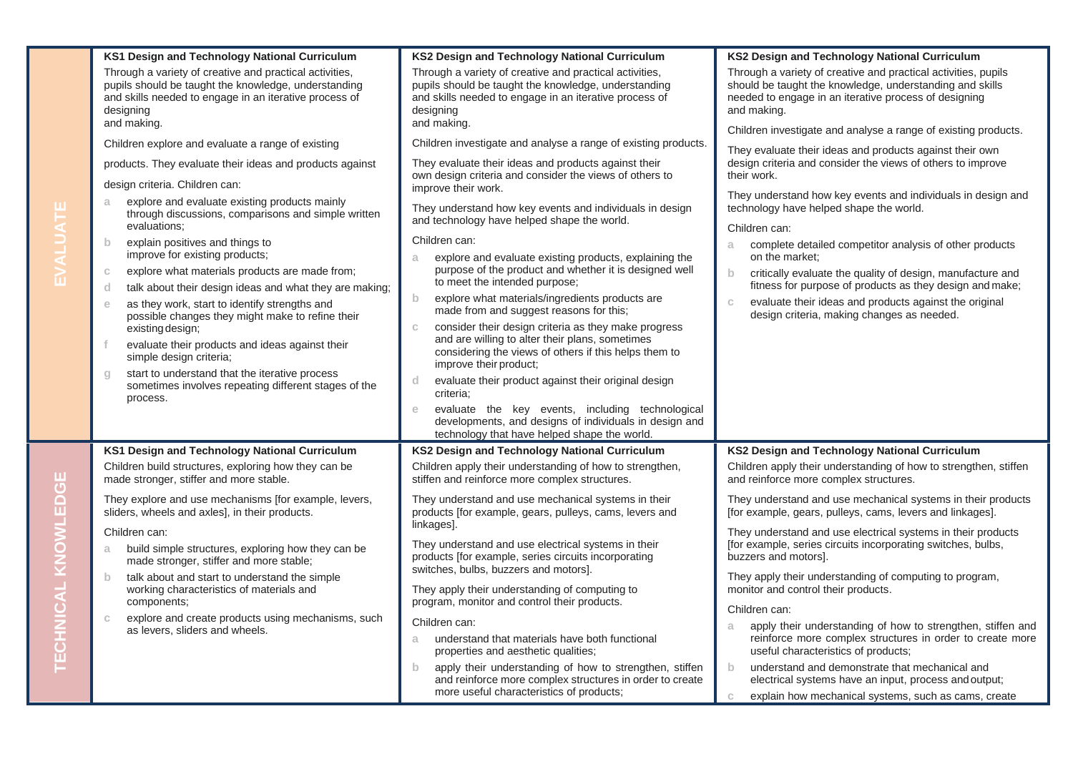|                  | KS1 Design and Technology National Curriculum                                                                                                                                                                                                                                                                                                                                                                                                                                                                                                                                                                                                                                                                          | KS2 Design and Technology National Curriculum                                                                                                                                                                                                                                                                                                                                                                                                                                                                                                                                                                                                                                                                                                                                                                                                                                                   | KS2 Design and Technology National Curriculum                                                                                                                                                                                                                                                                                                                                                                                                                      |
|------------------|------------------------------------------------------------------------------------------------------------------------------------------------------------------------------------------------------------------------------------------------------------------------------------------------------------------------------------------------------------------------------------------------------------------------------------------------------------------------------------------------------------------------------------------------------------------------------------------------------------------------------------------------------------------------------------------------------------------------|-------------------------------------------------------------------------------------------------------------------------------------------------------------------------------------------------------------------------------------------------------------------------------------------------------------------------------------------------------------------------------------------------------------------------------------------------------------------------------------------------------------------------------------------------------------------------------------------------------------------------------------------------------------------------------------------------------------------------------------------------------------------------------------------------------------------------------------------------------------------------------------------------|--------------------------------------------------------------------------------------------------------------------------------------------------------------------------------------------------------------------------------------------------------------------------------------------------------------------------------------------------------------------------------------------------------------------------------------------------------------------|
|                  | Through a variety of creative and practical activities,<br>pupils should be taught the knowledge, understanding<br>and skills needed to engage in an iterative process of<br>designing<br>and making.                                                                                                                                                                                                                                                                                                                                                                                                                                                                                                                  | Through a variety of creative and practical activities,<br>pupils should be taught the knowledge, understanding<br>and skills needed to engage in an iterative process of<br>designing<br>and making.                                                                                                                                                                                                                                                                                                                                                                                                                                                                                                                                                                                                                                                                                           | Through a variety of creative and practical activities, pupils<br>should be taught the knowledge, understanding and skills<br>needed to engage in an iterative process of designing<br>and making.                                                                                                                                                                                                                                                                 |
|                  | Children explore and evaluate a range of existing                                                                                                                                                                                                                                                                                                                                                                                                                                                                                                                                                                                                                                                                      | Children investigate and analyse a range of existing products.                                                                                                                                                                                                                                                                                                                                                                                                                                                                                                                                                                                                                                                                                                                                                                                                                                  | Children investigate and analyse a range of existing products.                                                                                                                                                                                                                                                                                                                                                                                                     |
|                  | products. They evaluate their ideas and products against                                                                                                                                                                                                                                                                                                                                                                                                                                                                                                                                                                                                                                                               | They evaluate their ideas and products against their<br>own design criteria and consider the views of others to                                                                                                                                                                                                                                                                                                                                                                                                                                                                                                                                                                                                                                                                                                                                                                                 | They evaluate their ideas and products against their own<br>design criteria and consider the views of others to improve<br>their work.                                                                                                                                                                                                                                                                                                                             |
| ш<br>ш           | design criteria. Children can:<br>explore and evaluate existing products mainly<br>through discussions, comparisons and simple written<br>evaluations;<br>$\mathbf b$<br>explain positives and things to<br>improve for existing products;<br>explore what materials products are made from;<br>$\mathbb{C}$<br>talk about their design ideas and what they are making;<br>d.<br>as they work, start to identify strengths and<br>possible changes they might make to refine their<br>existing design;<br>evaluate their products and ideas against their<br>simple design criteria;<br>start to understand that the iterative process<br>$\alpha$<br>sometimes involves repeating different stages of the<br>process. | improve their work.<br>They understand how key events and individuals in design<br>and technology have helped shape the world.<br>Children can:<br>explore and evaluate existing products, explaining the<br>purpose of the product and whether it is designed well<br>to meet the intended purpose;<br>explore what materials/ingredients products are<br>$\mathbf b$<br>made from and suggest reasons for this;<br>consider their design criteria as they make progress<br>$\mathbb C$<br>and are willing to alter their plans, sometimes<br>considering the views of others if this helps them to<br>improve their product;<br>evaluate their product against their original design<br><sub>d</sub><br>criteria;<br>evaluate the key events, including technological<br>$\epsilon$<br>developments, and designs of individuals in design and<br>technology that have helped shape the world. | They understand how key events and individuals in design and<br>technology have helped shape the world.<br>Children can:<br>complete detailed competitor analysis of other products<br>a<br>on the market:<br>$\mathsf{b}$<br>critically evaluate the quality of design, manufacture and<br>fitness for purpose of products as they design and make;<br>evaluate their ideas and products against the original<br>C.<br>design criteria, making changes as needed. |
|                  | KS1 Design and Technology National Curriculum                                                                                                                                                                                                                                                                                                                                                                                                                                                                                                                                                                                                                                                                          | KS2 Design and Technology National Curriculum                                                                                                                                                                                                                                                                                                                                                                                                                                                                                                                                                                                                                                                                                                                                                                                                                                                   | KS2 Design and Technology National Curriculum                                                                                                                                                                                                                                                                                                                                                                                                                      |
| ш<br>$\mathbf C$ | Children build structures, exploring how they can be<br>made stronger, stiffer and more stable.                                                                                                                                                                                                                                                                                                                                                                                                                                                                                                                                                                                                                        | Children apply their understanding of how to strengthen,<br>stiffen and reinforce more complex structures.                                                                                                                                                                                                                                                                                                                                                                                                                                                                                                                                                                                                                                                                                                                                                                                      | Children apply their understanding of how to strengthen, stiffen<br>and reinforce more complex structures.                                                                                                                                                                                                                                                                                                                                                         |
| <b>WLED</b>      | They explore and use mechanisms [for example, levers,<br>sliders, wheels and axles], in their products.                                                                                                                                                                                                                                                                                                                                                                                                                                                                                                                                                                                                                | They understand and use mechanical systems in their<br>products [for example, gears, pulleys, cams, levers and                                                                                                                                                                                                                                                                                                                                                                                                                                                                                                                                                                                                                                                                                                                                                                                  | They understand and use mechanical systems in their products<br>[for example, gears, pulleys, cams, levers and linkages].                                                                                                                                                                                                                                                                                                                                          |
| <b>NONX</b>      | Children can:<br>build simple structures, exploring how they can be<br>a<br>made stronger, stiffer and more stable;                                                                                                                                                                                                                                                                                                                                                                                                                                                                                                                                                                                                    | linkages].<br>They understand and use electrical systems in their<br>products [for example, series circuits incorporating                                                                                                                                                                                                                                                                                                                                                                                                                                                                                                                                                                                                                                                                                                                                                                       | They understand and use electrical systems in their products<br>[for example, series circuits incorporating switches, bulbs,<br>buzzers and motors].                                                                                                                                                                                                                                                                                                               |
|                  | talk about and start to understand the simple<br>$\mathbf{b}$<br>working characteristics of materials and<br>components:                                                                                                                                                                                                                                                                                                                                                                                                                                                                                                                                                                                               | switches, bulbs, buzzers and motors].<br>They apply their understanding of computing to<br>program, monitor and control their products.                                                                                                                                                                                                                                                                                                                                                                                                                                                                                                                                                                                                                                                                                                                                                         | They apply their understanding of computing to program,<br>monitor and control their products.                                                                                                                                                                                                                                                                                                                                                                     |
|                  | explore and create products using mechanisms, such<br>$\mathbb{C}$                                                                                                                                                                                                                                                                                                                                                                                                                                                                                                                                                                                                                                                     | Children can:                                                                                                                                                                                                                                                                                                                                                                                                                                                                                                                                                                                                                                                                                                                                                                                                                                                                                   | Children can:<br>apply their understanding of how to strengthen, stiffen and                                                                                                                                                                                                                                                                                                                                                                                       |
| TECHNICAL        | as levers, sliders and wheels.                                                                                                                                                                                                                                                                                                                                                                                                                                                                                                                                                                                                                                                                                         | understand that materials have both functional<br>a<br>properties and aesthetic qualities;                                                                                                                                                                                                                                                                                                                                                                                                                                                                                                                                                                                                                                                                                                                                                                                                      | reinforce more complex structures in order to create more<br>useful characteristics of products;                                                                                                                                                                                                                                                                                                                                                                   |
|                  |                                                                                                                                                                                                                                                                                                                                                                                                                                                                                                                                                                                                                                                                                                                        | apply their understanding of how to strengthen, stiffen<br>$\mathbf b$<br>and reinforce more complex structures in order to create                                                                                                                                                                                                                                                                                                                                                                                                                                                                                                                                                                                                                                                                                                                                                              | understand and demonstrate that mechanical and<br>$\mathsf{b}$<br>electrical systems have an input, process and output;                                                                                                                                                                                                                                                                                                                                            |
|                  |                                                                                                                                                                                                                                                                                                                                                                                                                                                                                                                                                                                                                                                                                                                        | more useful characteristics of products;                                                                                                                                                                                                                                                                                                                                                                                                                                                                                                                                                                                                                                                                                                                                                                                                                                                        | explain how mechanical systems, such as cams, create<br>C                                                                                                                                                                                                                                                                                                                                                                                                          |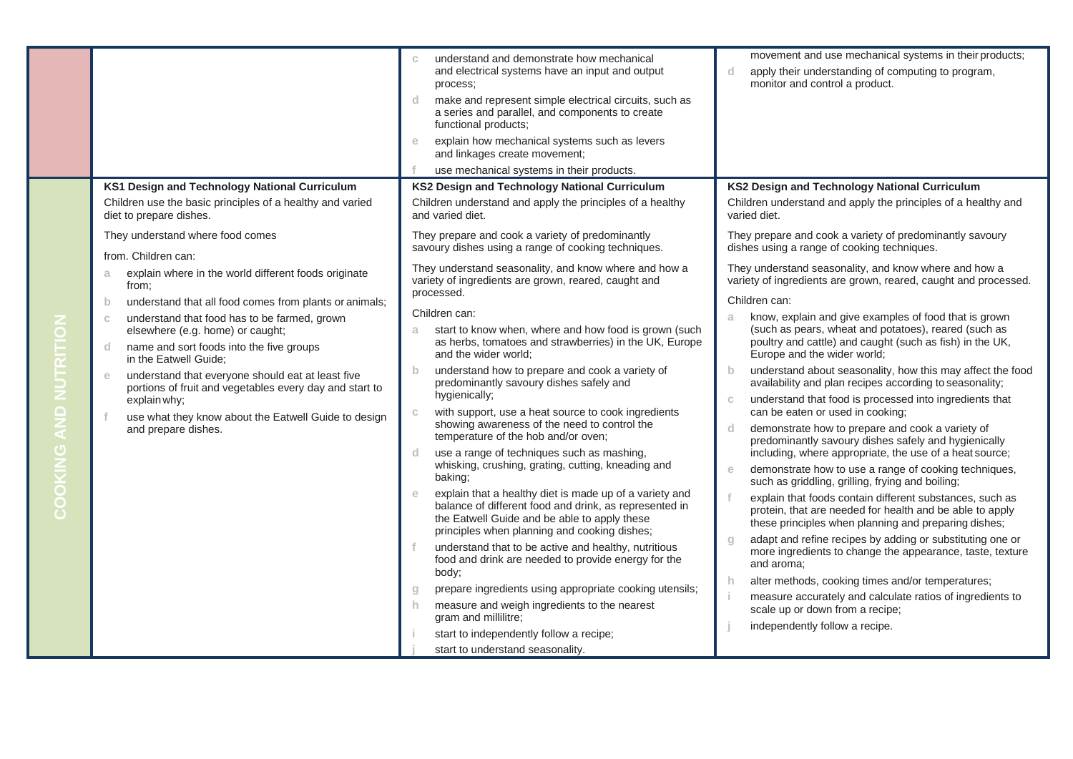|                                                                                                 |                                                                                                                                                                                                                                                                                                                           | understand and demonstrate how mechanical<br>and electrical systems have an input and output<br>process;<br>d<br>make and represent simple electrical circuits, such as<br>a series and parallel, and components to create<br>functional products;<br>explain how mechanical systems such as levers<br>e<br>and linkages create movement;<br>use mechanical systems in their products. | movement and use mechanical systems in their products;<br>apply their understanding of computing to program,<br>d<br>monitor and control a product.                                                                                       |  |  |
|-------------------------------------------------------------------------------------------------|---------------------------------------------------------------------------------------------------------------------------------------------------------------------------------------------------------------------------------------------------------------------------------------------------------------------------|----------------------------------------------------------------------------------------------------------------------------------------------------------------------------------------------------------------------------------------------------------------------------------------------------------------------------------------------------------------------------------------|-------------------------------------------------------------------------------------------------------------------------------------------------------------------------------------------------------------------------------------------|--|--|
|                                                                                                 | KS1 Design and Technology National Curriculum<br>Children use the basic principles of a healthy and varied                                                                                                                                                                                                                | KS2 Design and Technology National Curriculum<br>Children understand and apply the principles of a healthy                                                                                                                                                                                                                                                                             | KS2 Design and Technology National Curriculum<br>Children understand and apply the principles of a healthy and<br>varied diet.<br>They prepare and cook a variety of predominantly savoury<br>dishes using a range of cooking techniques. |  |  |
| $\bullet$<br>$\Box$<br>$\boldsymbol{\sigma}$<br>$\overline{O}$<br>$\mathbf O$<br>$\overline{C}$ | diet to prepare dishes.                                                                                                                                                                                                                                                                                                   | and varied diet.                                                                                                                                                                                                                                                                                                                                                                       |                                                                                                                                                                                                                                           |  |  |
|                                                                                                 | They understand where food comes<br>from. Children can:                                                                                                                                                                                                                                                                   | They prepare and cook a variety of predominantly<br>savoury dishes using a range of cooking techniques.                                                                                                                                                                                                                                                                                |                                                                                                                                                                                                                                           |  |  |
|                                                                                                 | explain where in the world different foods originate<br>a<br>from;<br>$\mathbf b$<br>understand that all food comes from plants or animals;<br>understand that food has to be farmed, grown<br>$\mathbb C$<br>elsewhere (e.g. home) or caught;<br>name and sort foods into the five groups<br>d.<br>in the Eatwell Guide; | They understand seasonality, and know where and how a<br>variety of ingredients are grown, reared, caught and<br>processed.                                                                                                                                                                                                                                                            | They understand seasonality, and know where and how a<br>variety of ingredients are grown, reared, caught and processed.                                                                                                                  |  |  |
|                                                                                                 |                                                                                                                                                                                                                                                                                                                           | Children can:                                                                                                                                                                                                                                                                                                                                                                          | Children can:                                                                                                                                                                                                                             |  |  |
|                                                                                                 |                                                                                                                                                                                                                                                                                                                           | start to know when, where and how food is grown (such<br>as herbs, tomatoes and strawberries) in the UK, Europe<br>and the wider world:                                                                                                                                                                                                                                                | know, explain and give examples of food that is grown<br>a.<br>(such as pears, wheat and potatoes), reared (such as<br>poultry and cattle) and caught (such as fish) in the UK,<br>Europe and the wider world;                            |  |  |
|                                                                                                 | understand that everyone should eat at least five<br>e<br>portions of fruit and vegetables every day and start to                                                                                                                                                                                                         | understand how to prepare and cook a variety of<br>$\mathbf b$<br>predominantly savoury dishes safely and<br>hygienically;                                                                                                                                                                                                                                                             | understand about seasonality, how this may affect the food<br>$\mathsf{b}$<br>availability and plan recipes according to seasonality;<br>understand that food is processed into ingredients that<br>C                                     |  |  |
|                                                                                                 | explain why;<br>f<br>use what they know about the Eatwell Guide to design<br>and prepare dishes.                                                                                                                                                                                                                          | with support, use a heat source to cook ingredients<br>$\mathbb{C}$<br>showing awareness of the need to control the                                                                                                                                                                                                                                                                    | can be eaten or used in cooking;<br>demonstrate how to prepare and cook a variety of<br>d.                                                                                                                                                |  |  |
|                                                                                                 |                                                                                                                                                                                                                                                                                                                           | temperature of the hob and/or oven;<br>use a range of techniques such as mashing,<br>d.                                                                                                                                                                                                                                                                                                | predominantly savoury dishes safely and hygienically<br>including, where appropriate, the use of a heat source;                                                                                                                           |  |  |
|                                                                                                 |                                                                                                                                                                                                                                                                                                                           | whisking, crushing, grating, cutting, kneading and<br>baking:                                                                                                                                                                                                                                                                                                                          | demonstrate how to use a range of cooking techniques,<br>e<br>such as griddling, grilling, frying and boiling;                                                                                                                            |  |  |
|                                                                                                 |                                                                                                                                                                                                                                                                                                                           | explain that a healthy diet is made up of a variety and<br>balance of different food and drink, as represented in<br>the Eatwell Guide and be able to apply these<br>principles when planning and cooking dishes;                                                                                                                                                                      | explain that foods contain different substances, such as<br>protein, that are needed for health and be able to apply<br>these principles when planning and preparing dishes;                                                              |  |  |
|                                                                                                 |                                                                                                                                                                                                                                                                                                                           | understand that to be active and healthy, nutritious<br>food and drink are needed to provide energy for the<br>body:                                                                                                                                                                                                                                                                   | adapt and refine recipes by adding or substituting one or<br>Q<br>more ingredients to change the appearance, taste, texture<br>and aroma;                                                                                                 |  |  |
|                                                                                                 |                                                                                                                                                                                                                                                                                                                           | prepare ingredients using appropriate cooking utensils;<br>g                                                                                                                                                                                                                                                                                                                           | alter methods, cooking times and/or temperatures;<br>$\mathsf{h}$                                                                                                                                                                         |  |  |
|                                                                                                 |                                                                                                                                                                                                                                                                                                                           | measure and weigh ingredients to the nearest<br>gram and millilitre;                                                                                                                                                                                                                                                                                                                   | measure accurately and calculate ratios of ingredients to<br>scale up or down from a recipe;                                                                                                                                              |  |  |
|                                                                                                 |                                                                                                                                                                                                                                                                                                                           | start to independently follow a recipe;                                                                                                                                                                                                                                                                                                                                                | independently follow a recipe.                                                                                                                                                                                                            |  |  |
|                                                                                                 |                                                                                                                                                                                                                                                                                                                           | start to understand seasonality.                                                                                                                                                                                                                                                                                                                                                       |                                                                                                                                                                                                                                           |  |  |